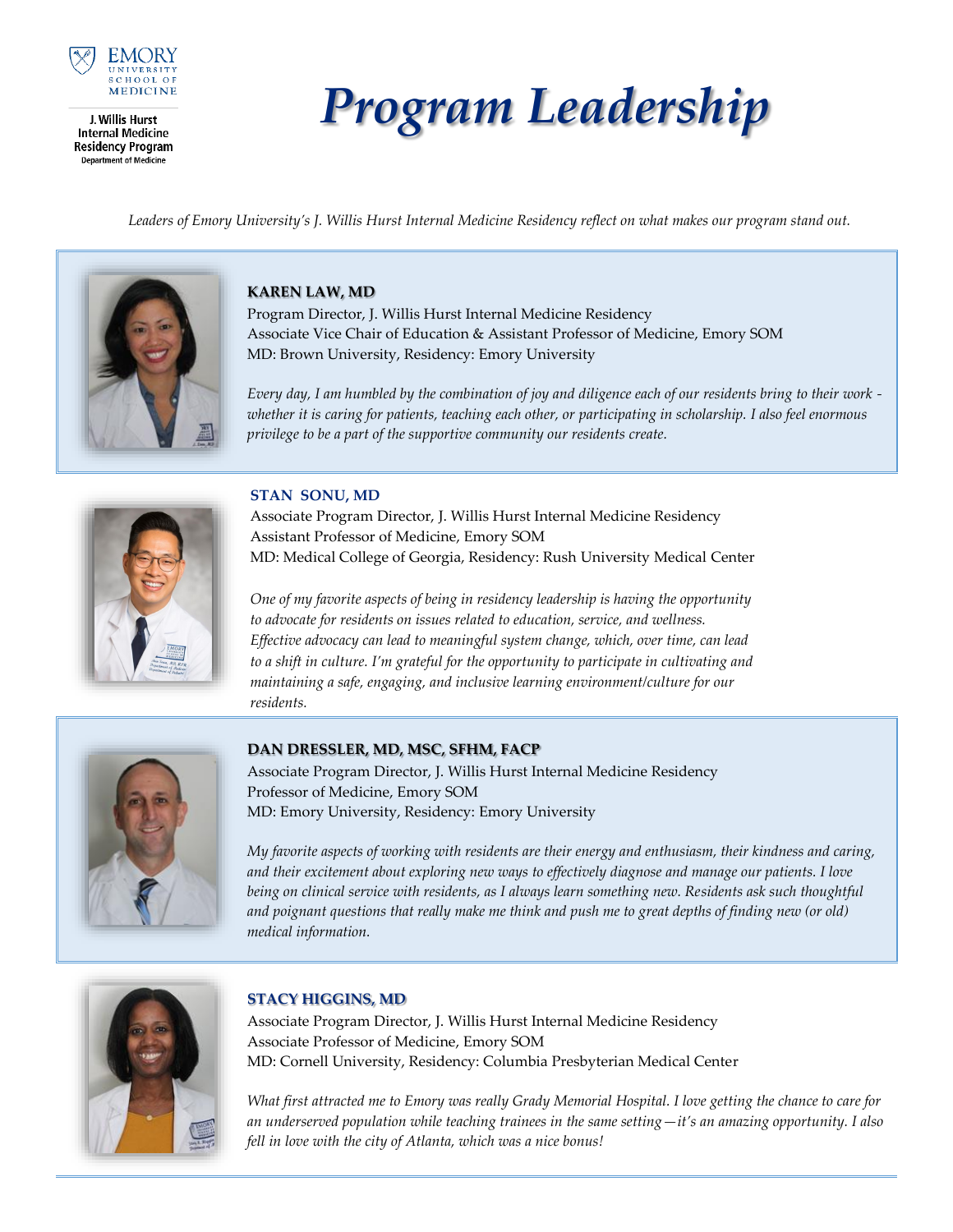

J. Willis Hurst **Internal Medicine Residency Program Department of Medicine** 

# *Program Leadership*

*Leaders of Emory University's J. Willis Hurst Internal Medicine Residency reflect on what makes our program stand out.*



## **KAREN LAW, MD**

Program Director, J. Willis Hurst Internal Medicine Residency Associate Vice Chair of Education & Assistant Professor of Medicine, Emory SOM MD: Brown University, Residency: Emory University

*Every day, I am humbled by the combination of joy and diligence each of our residents bring to their work whether it is caring for patients, teaching each other, or participating in scholarship. I also feel enormous privilege to be a part of the supportive community our residents create.*



## **STAN SONU, MD**

Associate Program Director, J. Willis Hurst Internal Medicine Residency Assistant Professor of Medicine, Emory SOM MD: Medical College of Georgia, Residency: Rush University Medical Center

*One of my favorite aspects of being in residency leadership is having the opportunity to advocate for residents on issues related to education, service, and wellness. Effective advocacy can lead to meaningful system change, which, over time, can lead to a shift in culture. I'm grateful for the opportunity to participate in cultivating and maintaining a safe, engaging, and inclusive learning environment/culture for our residents.* 



## **DAN DRESSLER, MD, MSC, SFHM, FACP**

Associate Program Director, J. Willis Hurst Internal Medicine Residency Professor of Medicine, Emory SOM MD: Emory University, Residency: Emory University

*My favorite aspects of working with residents are their energy and enthusiasm, their kindness and caring, and their excitement about exploring new ways to effectively diagnose and manage our patients. I love being on clinical service with residents, as I always learn something new. Residents ask such thoughtful and poignant questions that really make me think and push me to great depths of finding new (or old) medical information.*



# **STACY HIGGINS, MD**

Associate Program Director, J. Willis Hurst Internal Medicine Residency Associate Professor of Medicine, Emory SOM MD: Cornell University, Residency: Columbia Presbyterian Medical Center

*What first attracted me to Emory was really Grady Memorial Hospital. I love getting the chance to care for an underserved population while teaching trainees in the same setting—it's an amazing opportunity. I also fell in love with the city of Atlanta, which was a nice bonus!*